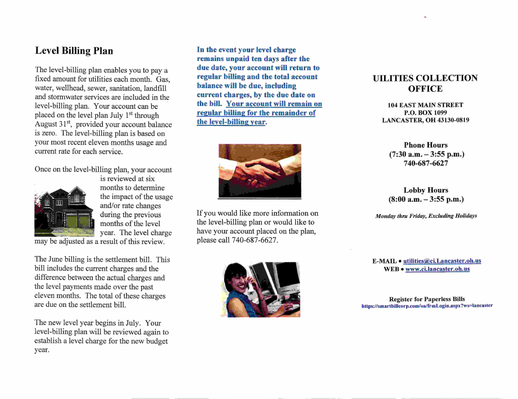## Level Billing Plan

The level-billing plan enables you to pay a fixed amount for utilities each month. Gas, water, wellhead, sewer, sanitation, landfill and stormwater services are included in the level-billing plan. Your account can be placed on the level plan July 1<sup>st</sup> through August  $31<sup>st</sup>$ , provided your account balance is zero. The level-billing plan is based on your most recent eleven months usage and current rate for each service.

Once on the level-billing plan, your account



is reviewed at six months to determine the impact of the usage and/or rate changes during the previous months of the level year. The level charge may be adjusted as a result of this review.

The June billing is the settlement bill. This bill includes the current charges and the difference between the actual charges and the level payments made over the past eleven months. The total of these charges are due on the settlement bill.

The new level year begins in July. Your level-billing plan will be reviewed again to establish a level charge for the new budget year.

In the event your level charge remains unpaid ten days after the due date, your account will return to regular billing and the total account balance will be due, including current charges, by the due date on the bill. Your account will remain on regular billing for the remainder of the level-billine year.



If you would like more information on the level-billing plan or would like to have your account placed on the plan, please call 7 40-687 -6627 .



## UILITIES COLLECTION **OFFICE**

104 EAST MAIN STREET P.O. BOX 1099 LANCASTER, OH 43130-0819

Phone Hours  $(7:30$  a.m.  $-3:55$  p.m.) 740-687-6627

Lobby Hours  $(8:00 a.m. - 3:55 p.m.)$ 

Monday thru Friday, Excluding Holidays

E-MAIL · utilities@ci.Lancaster.oh.us WEB · www.ci.lancaster.oh.us

Register for Paperless Bills https://smartbillcorp.com/oa/frmLogin.aspx?ws=lancaster